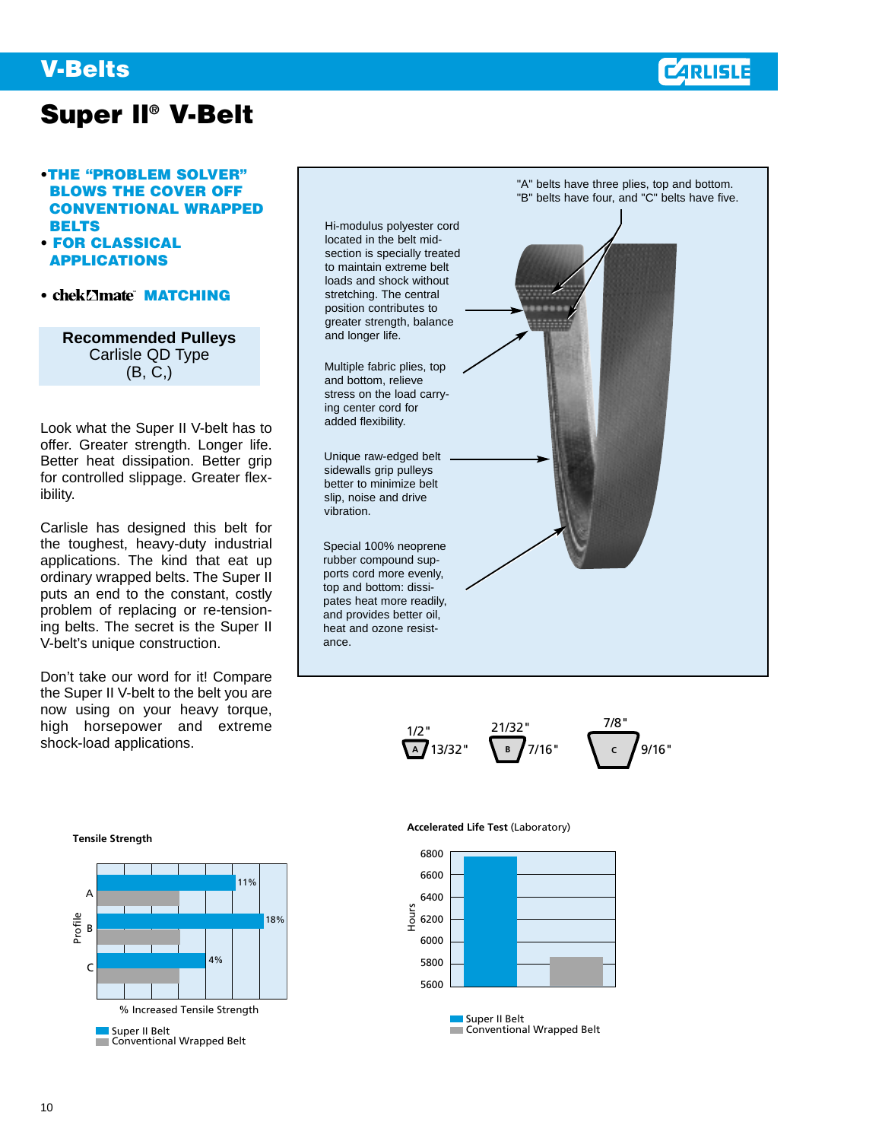### **V-Belts**



## **Super ll® V-Belt**

### **•THE "PROBLEM SOLVER" BLOWS THE COVER OFF CONVENTIONAL WRAPPED BELTS**

- **• FOR CLASSICAL APPLICATIONS**
- chek**<b>Matching**

**Recommended Pulleys**  Carlisle QD Type (B, C,)

Look what the Super II V-belt has to offer. Greater strength. Longer life. Better heat dissipation. Better grip for controlled slippage. Greater flexibility.

Carlisle has designed this belt for the toughest, heavy-duty industrial applications. The kind that eat up ordinary wrapped belts. The Super II puts an end to the constant, costly problem of replacing or re-tensioning belts. The secret is the Super II V-belt's unique construction.

Don't take our word for it! Compare the Super II V-belt to the belt you are now using on your heavy torque, high horsepower and extreme shock-load applications.



$$
\frac{1/2}{4}^{1/2^{n}} 13/32^{n} \quad \frac{21/32^{n}}{8} \quad 7/16^{n} \quad \frac{7/8^{n}}{6} \quad 9/16^{n}
$$

### **Tensile Strength**



#### **Accelerated Life Test** (Laboratory)



Conventional Wrapped Belt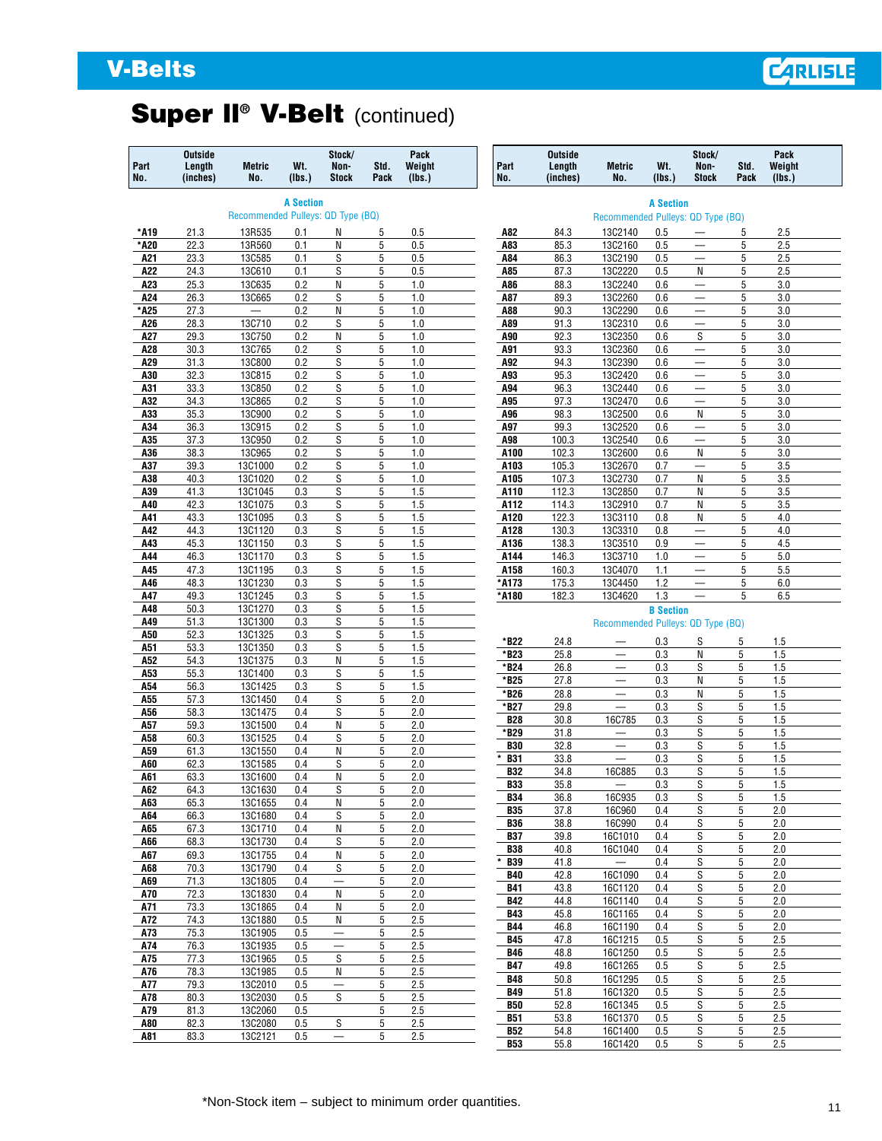# **V-Belts**

# **Super ll® V-Belt** (continued)

| Part<br>No. | <b>Outside</b><br>Length<br>(inches) | <b>Metric</b><br>No.               | Wt.<br>(Ibs.)    | Stock/<br>Non-<br><b>Stock</b> | Std.<br>Pack   | Pack<br>Weight<br>(Ibs.) | Part<br>No.              | <b>Outside</b><br>Length<br>(inches) | <b>Metric</b><br>No.                                 | Wt.<br>(Ibs.)    | Stock/<br>Non-<br><b>Stock</b>                       | Std.<br>Pack | Pack<br>Weight<br>(Ibs.) |
|-------------|--------------------------------------|------------------------------------|------------------|--------------------------------|----------------|--------------------------|--------------------------|--------------------------------------|------------------------------------------------------|------------------|------------------------------------------------------|--------------|--------------------------|
|             |                                      |                                    | <b>A Section</b> |                                |                |                          |                          |                                      |                                                      | <b>A Section</b> |                                                      |              |                          |
|             |                                      | Recommended Pulleys: QD Type (BQ)  |                  |                                |                |                          |                          |                                      | Recommended Pulleys: QD Type (BQ)                    |                  |                                                      |              |                          |
| *A19        | 21.3                                 | 13R535                             | 0.1              | Ν                              | 5              | 0.5                      | A82                      | 84.3                                 | 13C2140                                              | 0.5              | $\overline{\phantom{m}}$                             | 5            | 2.5                      |
| *A20<br>A21 | 22.3<br>23.3                         | 13R560<br>13C585                   | 0.1<br>0.1       | N<br>S                         | 5<br>5         | 0.5<br>0.5               | A83<br>A84               | 85.3<br>86.3                         | 13C2160<br>13C2190                                   | 0.5<br>0.5       | -                                                    | 5<br>5       | 2.5<br>2.5               |
| A22         | 24.3                                 | 13C610                             | 0.1              | S                              | 5              | 0.5                      | A85                      | 87.3                                 | 13C2220                                              | 0.5              | $\overline{\phantom{m}}$<br>N                        | 5            | 2.5                      |
| A23         | 25.3                                 | 13C635                             | 0.2              | Ν                              | 5              | 1.0                      | A86                      | 88.3                                 | 13C2240                                              | 0.6              |                                                      | 5            | 3.0                      |
| A24         | 26.3                                 | 13C665                             | 0.2              | S                              | 5              | 1.0                      | A87                      | 89.3                                 | 13C2260                                              | 0.6              |                                                      | 5            | 3.0                      |
| *A25        | 27.3                                 | $\overline{\phantom{0}}$<br>13C710 | 0.2              | Ν                              | 5              | 1.0                      | A88                      | 90.3                                 | 13C2290                                              | 0.6              | $\overline{\phantom{m}}$                             | 5            | 3.0<br>3.0               |
| A26<br>A27  | 28.3<br>29.3                         | 13C750                             | 0.2<br>0.2       | S<br>N                         | 5<br>5         | 1.0<br>1.0               | A89<br>A90               | 91.3<br>92.3                         | 13C2310<br>13C2350                                   | 0.6<br>0.6       | -<br>S                                               | 5<br>5       | 3.0                      |
| A28         | 30.3                                 | 13C765                             | 0.2              | S                              | 5              | 1.0                      | A91                      | 93.3                                 | 13C2360                                              | 0.6              | $\overline{\phantom{m}}$                             | 5            | 3.0                      |
| A29         | 31.3                                 | 13C800                             | 0.2              | S                              | 5              | 1.0                      | A92                      | 94.3                                 | 13C2390                                              | 0.6              | $\qquad \qquad -$                                    | 5            | 3.0                      |
| A30         | 32.3                                 | <b>13C815</b>                      | 0.2              | S                              | 5              | 1.0                      | A93                      | 95.3                                 | 13C2420                                              | 0.6              |                                                      | 5            | 3.0                      |
| A31         | 33.3<br>34.3                         | <b>13C850</b><br>13C865            | 0.2<br>0.2       | S<br>S                         | 5<br>5         | 1.0<br>1.0               | A94                      | 96.3<br>97.3                         | 13C2440<br>13C2470                                   | 0.6<br>0.6       | $\overline{\phantom{m}}$                             | 5<br>5       | 3.0<br>3.0               |
| A32<br>A33  | 35.3                                 | 13C900                             | 0.2              | S                              | 5              | 1.0                      | A95<br>A96               | 98.3                                 | 13C2500                                              | 0.6              | N                                                    | 5            | 3.0                      |
| A34         | 36.3                                 | 13C915                             | 0.2              | S                              | 5              | 1.0                      | A97                      | 99.3                                 | 13C2520                                              | 0.6              | $\overline{\phantom{0}}$                             | 5            | 3.0                      |
| A35         | 37.3                                 | 13C950                             | 0.2              | S                              | 5              | 1.0                      | A98                      | 100.3                                | 13C2540                                              | 0.6              | $\qquad \qquad -$                                    | 5            | 3.0                      |
| A36         | 38.3                                 | 13C965                             | 0.2              | S                              | 5              | 1.0                      | A100                     | 102.3                                | 13C2600                                              | 0.6              | N                                                    | 5            | 3.0                      |
| A37         | 39.3                                 | 13C1000                            | 0.2              | S                              | 5<br>5         | 1.0                      | A103                     | 105.3                                | 13C2670                                              | 0.7              | N                                                    | 5<br>5       | 3.5                      |
| A38<br>A39  | 40.3<br>41.3                         | 13C1020<br>13C1045                 | 0.2<br>0.3       | S<br>S                         | 5              | 1.0<br>1.5               | A105<br>A110             | 107.3<br>112.3                       | 13C2730<br>13C2850                                   | 0.7<br>0.7       | N                                                    | 5            | 3.5<br>3.5               |
| A40         | 42.3                                 | 13C1075                            | 0.3              | S                              | 5              | 1.5                      | A112                     | 114.3                                | 13C2910                                              | 0.7              | N                                                    | 5            | 3.5                      |
| A41         | 43.3                                 | 13C1095                            | 0.3              | S                              | 5              | 1.5                      | A120                     | 122.3                                | 13C3110                                              | 0.8              | N                                                    | 5            | 4.0                      |
| A42         | 44.3                                 | 13C1120                            | 0.3              | S                              | 5              | 1.5                      | A128                     | 130.3                                | 13C3310                                              | 0.8              | -                                                    | 5            | 4.0                      |
| A43         | 45.3                                 | 13C1150                            | 0.3              | S                              | 5              | 1.5                      | A136                     | 138.3                                | 13C3510                                              | 0.9              | $\overline{\phantom{m}}$                             | 5            | 4.5                      |
| A44<br>A45  | 46.3<br>47.3                         | 13C1170<br>13C1195                 | 0.3<br>0.3       | S<br>S                         | 5<br>5         | 1.5<br>1.5               | A144<br>A158             | 146.3<br>160.3                       | 13C3710<br>13C4070                                   | 1.0<br>1.1       | $\overline{\phantom{0}}$<br>$\overline{\phantom{m}}$ | 5<br>5       | 5.0<br>5.5               |
| A46         | 48.3                                 | 13C1230                            | 0.3              | S                              | 5              | 1.5                      | *A173                    | 175.3                                | 13C4450                                              | 1.2              | $\overline{\phantom{0}}$                             | 5            | 6.0                      |
| A47         | 49.3                                 | 13C1245                            | 0.3              | S                              | 5              | 1.5                      | *A180                    | 182.3                                | 13C4620                                              | 1.3              | $\qquad \qquad -$                                    | 5            | 6.5                      |
| A48         | 50.3                                 | 13C1270                            | 0.3              | S                              | 5              | 1.5                      |                          |                                      |                                                      | <b>B</b> Section |                                                      |              |                          |
| A49         | 51.3                                 | 13C1300                            | 0.3              | S                              | 5              | 1.5                      |                          |                                      | Recommended Pulleys: QD Type (BQ)                    |                  |                                                      |              |                          |
| A50<br>A51  | 52.3<br>53.3                         | 13C1325<br>13C1350                 | 0.3<br>0.3       | S<br>S                         | 5<br>5         | 1.5<br>1.5               | *B22                     | 24.8                                 |                                                      | 0.3              | S                                                    | 5            | 1.5                      |
| A52         | 54.3                                 | 13C1375                            | 0.3              | N                              | 5              | 1.5                      | *B23                     | 25.8                                 | $\equiv$                                             | 0.3              | N                                                    | 5            | 1.5                      |
| A53         | 55.3                                 | 13C1400                            | 0.3              | S                              | 5              | 1.5                      | *B24                     | 26.8                                 | $\overline{\phantom{0}}$<br>$\equiv$                 | 0.3              | S                                                    | 5            | 1.5<br>1.5               |
| A54         | 56.3                                 | 13C1425                            | 0.3              | S                              | 5              | 1.5                      | *B25<br>*B26             | 27.8<br>28.8                         | $\overline{\phantom{0}}$                             | 0.3<br>0.3       | N<br>N                                               | 5<br>5       | 1.5                      |
| A55         | 57.3                                 | 13C1450                            | 0.4              | S                              | 5              | 2.0                      | *B27                     | 29.8                                 | $\equiv$                                             | 0.3              | S                                                    | 5            | 1.5                      |
| A56<br>A57  | 58.3<br>59.3                         | 13C1475<br>13C1500                 | 0.4<br>0.4       | S<br>N                         | 5<br>5         | 2.0<br>2.0               | <b>B28</b>               | 30.8                                 | 16C785                                               | 0.3              | S                                                    | 5            | 1.5                      |
| A58         | 60.3                                 | 13C1525                            | 0.4              | S                              | 5              | 2.0                      | *B29                     | 31.8                                 | $\overline{\phantom{0}}$                             | 0.3              | S                                                    | 5            | 1.5                      |
| A59         | 61.3                                 | 13C1550                            | 0.4              | N                              | 5              | 2.0                      | <b>B30</b>               | 32.8                                 | $\overline{\phantom{0}}$<br>$\overline{\phantom{0}}$ | 0.3              | S<br>S                                               | 5<br>5       | 1.5<br>1.5               |
| A60         | 62.3                                 | 13C1585                            | 0.4              | S                              | 5              | 2.0                      | <b>B31</b><br><b>B32</b> | 33.8<br>34.8                         | 16C885                                               | 0.3<br>0.3       | S                                                    | 5            | 1.5                      |
| A61         | 63.3                                 | 13C1600                            | 0.4              | N<br>S                         | 5              | 2.0                      | <b>B33</b>               | 35.8                                 |                                                      | 0.3              | S                                                    | 5            | 1.5                      |
| A62<br>A63  | 64.3<br>65.3                         | 13C1630<br>13C1655                 | 0.4<br>0.4       | Ν                              | 5<br>5         | 2.0<br>2.0               | <b>B34</b>               | 36.8                                 | 16C935                                               | 0.3              | S                                                    | 5            | 1.5                      |
| A64         | 66.3                                 | 13C1680                            | 0.4              | S                              | 5              | 2.0                      | <b>B35</b>               | 37.8                                 | <b>16C960</b>                                        | 0.4              | S                                                    | 5            | 2.0                      |
| A65         | 67.3                                 | 13C1710                            | 0.4              | Ν                              | 5              | 2.0                      | <b>B36</b>               | 38.8<br>39.8                         | <b>16C990</b>                                        | 0.4              | S                                                    | 5<br>5       | 2.0<br>2.0               |
| A66         | 68.3                                 | 13C1730                            | 0.4              | S                              | 5              | 2.0                      | <b>B37</b><br><b>B38</b> | 40.8                                 | 16C1010<br>16C1040                                   | 0.4<br>0.4       | S<br>S                                               | 5            | 2.0                      |
| A67         | 69.3                                 | 13C1755                            | 0.4              | Ν                              | 5              | 2.0                      | <b>B39</b>               | 41.8                                 |                                                      | 0.4              | S                                                    | 5            | 2.0                      |
| A68<br>A69  | 70.3<br>71.3                         | 13C1790<br>13C1805                 | 0.4<br>0.4       | S<br>—                         | 5<br>5         | 2.0<br>2.0               | <b>B40</b>               | 42.8                                 | 16C1090                                              | 0.4              | S                                                    | 5            | 2.0                      |
| A70         | 72.3                                 | 13C1830                            | 0.4              | N                              | 5              | 2.0                      | <b>B41</b>               | 43.8                                 | 16C1120                                              | 0.4              | S                                                    | 5            | 2.0                      |
| A71         | 73.3                                 | 13C1865                            | 0.4              | Ν                              | 5              | 2.0                      | <b>B42</b>               | 44.8                                 | 16C1140                                              | 0.4              | S                                                    | 5            | 2.0                      |
| A72         | 74.3                                 | 13C1880                            | 0.5              | Ν                              | $\overline{5}$ | 2.5                      | <b>B43</b><br><b>B44</b> | 45.8<br>46.8                         | 16C1165<br>16C1190                                   | 0.4<br>0.4       | S<br>S                                               | 5<br>5       | 2.0<br>2.0               |
| A73         | 75.3                                 | 13C1905                            | 0.5              | $\overline{\phantom{0}}$       | 5              | 2.5                      | <b>B45</b>               | 47.8                                 | 16C1215                                              | 0.5              | S                                                    | 5            | 2.5                      |
| A74         | 76.3                                 | 13C1935                            | 0.5              | $\overline{\phantom{0}}$       | 5              | 2.5                      | <b>B46</b>               | 48.8                                 | 16C1250                                              | 0.5              | S                                                    | 5            | 2.5                      |
| A75<br>A76  | 77.3<br>78.3                         | 13C1965<br>13C1985                 | 0.5<br>0.5       | S<br>Ν                         | 5<br>5         | 2.5<br>2.5               | <b>B47</b>               | 49.8                                 | 16C1265                                              | 0.5              | S                                                    | 5            | 2.5                      |
| A77         | 79.3                                 | 13C2010                            | 0.5              | —                              | 5              | 2.5                      | <b>B48</b>               | 50.8                                 | 16C1295                                              | 0.5              | S                                                    | 5            | 2.5                      |
| A78         | 80.3                                 | 13C2030                            | 0.5              | S                              | 5              | 2.5                      | <b>B49</b><br><b>B50</b> | 51.8<br>52.8                         | 16C1320<br>16C1345                                   | 0.5<br>0.5       | S<br>S                                               | 5<br>5       | 2.5<br>2.5               |
| A79         | 81.3                                 | 13C2060                            | 0.5              |                                | 5              | 2.5                      | <b>B51</b>               | 53.8                                 | 16C1370                                              | 0.5              | S                                                    | 5            | 2.5                      |
| A80         | 82.3                                 | 13C2080                            | 0.5              | S                              | 5              | 2.5                      | <b>B52</b>               | 54.8                                 | 16C1400                                              | 0.5              | S                                                    | 5            | 2.5                      |
| A81         | 83.3                                 | 13C2121                            | 0.5              | —                              | 5              | 2.5                      | <b>B53</b>               | 55.8                                 | 16C1420                                              | 0.5              | S                                                    | $\sqrt{5}$   | 2.5                      |